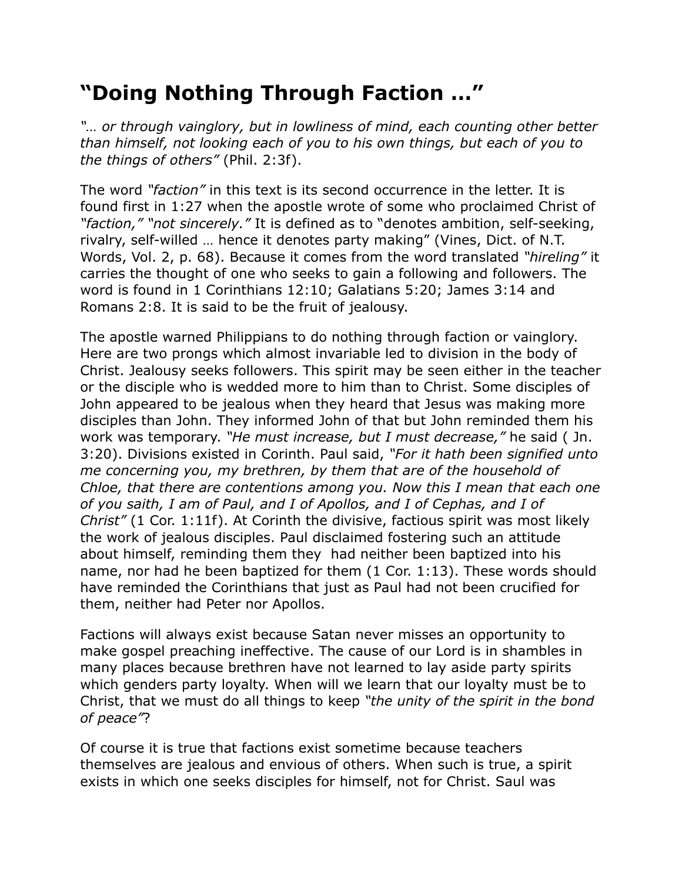## **"Doing Nothing Through Faction …"**

*"… or through vainglory, but in lowliness of mind, each counting other better than himself, not looking each of you to his own things, but each of you to the things of others"* (Phil. 2:3f).

The word *"faction"* in this text is its second occurrence in the letter. It is found first in 1:27 when the apostle wrote of some who proclaimed Christ of *"faction," "not sincerely."* It is defined as to "denotes ambition, self-seeking, rivalry, self-willed … hence it denotes party making" (Vines, Dict. of N.T. Words, Vol. 2, p. 68). Because it comes from the word translated *"hireling"* it carries the thought of one who seeks to gain a following and followers. The word is found in 1 Corinthians 12:10; Galatians 5:20; James 3:14 and Romans 2:8. It is said to be the fruit of jealousy.

The apostle warned Philippians to do nothing through faction or vainglory. Here are two prongs which almost invariable led to division in the body of Christ. Jealousy seeks followers. This spirit may be seen either in the teacher or the disciple who is wedded more to him than to Christ. Some disciples of John appeared to be jealous when they heard that Jesus was making more disciples than John. They informed John of that but John reminded them his work was temporary. *"He must increase, but I must decrease,"* he said ( Jn. 3:20). Divisions existed in Corinth. Paul said, *"For it hath been signified unto me concerning you, my brethren, by them that are of the household of Chloe, that there are contentions among you. Now this I mean that each one of you saith, I am of Paul, and I of Apollos, and I of Cephas, and I of Christ"* (1 Cor. 1:11f). At Corinth the divisive, factious spirit was most likely the work of jealous disciples. Paul disclaimed fostering such an attitude about himself, reminding them they had neither been baptized into his name, nor had he been baptized for them (1 Cor. 1:13). These words should have reminded the Corinthians that just as Paul had not been crucified for them, neither had Peter nor Apollos.

Factions will always exist because Satan never misses an opportunity to make gospel preaching ineffective. The cause of our Lord is in shambles in many places because brethren have not learned to lay aside party spirits which genders party loyalty. When will we learn that our loyalty must be to Christ, that we must do all things to keep *"the unity of the spirit in the bond of peace"*?

Of course it is true that factions exist sometime because teachers themselves are jealous and envious of others. When such is true, a spirit exists in which one seeks disciples for himself, not for Christ. Saul was